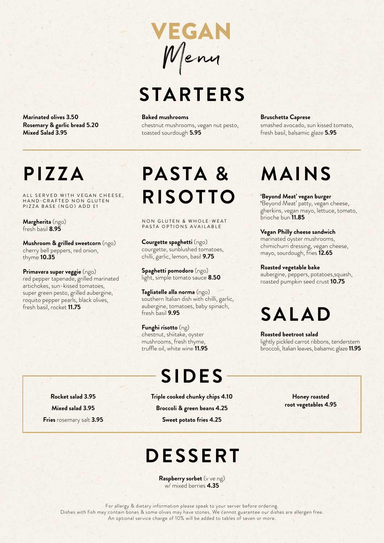VEGAN Menu

### **STARTERS**

**Marinated olives 3.50 Rosemary & garlic bread 5.20 Mixed Salad 3.95**

### **PIZZA**

ALL SERVED WITH VEGAN CHEESE, HAND-CRAFTED NON GLUTEN PIZZA BASE (NGO) ADD £1

**Margherita** (ngo) fresh basil **8.95** 

**Mushroom & grilled sweetcorn** (ngo) cherry bell peppers, red onion, thyme **10.35**

**Primavera super veggie** (ngo) red pepper tapenade, grilled marinated artichokes, sun-kissed tomatoes, super green pesto, grilled aubergine, roquito pepper pearls, black olives, fresh basil, rocket **11.75**

#### **Baked mushrooms**

chestnut mushrooms, vegan nut pesto, toasted sourdough **5.95**

## **PASTA & RISOTTO**

NON GLUTEN & WHOLE-WEAT PASTA OPTIONS AVAILABLE

**Courgette spaghetti** (ngo) courgette, sunblushed tomatoes, chilli, garlic, lemon, basil **9.75**

**Spaghetti pomodoro** (ngo) light, simple tomato sauce **8.50**

**Tagliatelle alla norma** (ngo) southern Italian dish with chilli, garlic, aubergine, tomatoes, baby spinach, fresh basil **9.95**

**Funghi risotto** (ng) chestnut, shiitake, oyster mushrooms, fresh thyme, truffle oil, white wine **11.95** 

### **SIDES**

**Triple cooked chunky chips 4.10 Broccoli & green beans 4.25 Sweet potato fries 4.25**

#### **Bruschetta Caprese**

smashed avocado, sun kissed tomato, fresh basil, balsamic glaze **5.95**

### **MAINS**

#### **'Beyond Meat' vegan burger**

**'**Beyond Meat' patty, vegan cheese, gherkins, vegan mayo, lettuce, tomato, brioche bun **11.85**

#### **Vegan Philly cheese sandwich**

marinated oyster mushrooms, chimichurri dressing, vegan cheese, mayo, sourdough, fries **12.65**

#### **Roasted vegetable bake**

aubergine, peppers, potatoes,squash, roasted pumpkin seed crust **10.75**

### **SALAD**

**Roasted beetroot salad** lightly pickled carrot ribbons, tenderstem

broccoli, Italian leaves, balsamic glaze **11.95**

**Honey roasted root vegetables 4.95**

**Rocket salad 3.95 Mixed salad 3.95 Fries** rosemary salt **3.95**

### **DESSERT**

**Raspberry sorbet** (v ve ng) w/ mixed berries **4.35**

For allergy & dietary information please speak to your server before ordering.

Dishes with fish may contain bones & some olives may have stones. We cannot guarantee our dishes are allergen free. An optional service charge of 10% will be added to tables of seven or more.